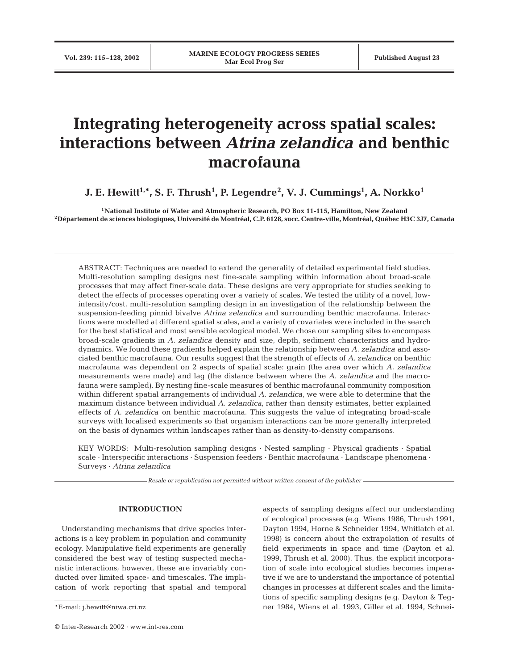# **Integrating heterogeneity across spatial scales: interactions between** *Atrina zelandica* **and benthic macrofauna**

 ${\bf J.~E.~H}$ ewitt $^{1,\ast}$ , S. F. Thrush $^{1}$ , P. Legendre $^{2}$ , V. J. Cummings $^{1}$ , A. Norkko $^{1}$ 

**1National Institute of Water and Atmospheric Research, PO Box 11-115, Hamilton, New Zealand 2Département de sciences biologiques, Université de Montréal, C.P. 6128, succ. Centre-ville, Montréal, Québec H3C 3J7, Canada**

ABSTRACT: Techniques are needed to extend the generality of detailed experimental field studies. Multi-resolution sampling designs nest fine-scale sampling within information about broad-scale processes that may affect finer-scale data. These designs are very appropriate for studies seeking to detect the effects of processes operating over a variety of scales. We tested the utility of a novel, lowintensity/cost, multi-resolution sampling design in an investigation of the relationship between the suspension-feeding pinnid bivalve *Atrina zelandica* and surrounding benthic macrofauna. Interactions were modelled at different spatial scales, and a variety of covariates were included in the search for the best statistical and most sensible ecological model. We chose our sampling sites to encompass broad-scale gradients in *A. zelandica* density and size, depth, sediment characteristics and hydrodynamics. We found these gradients helped explain the relationship between *A. zelandica* and associated benthic macrofauna. Our results suggest that the strength of effects of *A. zelandica* on benthic macrofauna was dependent on 2 aspects of spatial scale: grain (the area over which *A. zelandica* measurements were made) and lag (the distance between where the *A. zelandica* and the macrofauna were sampled). By nesting fine-scale measures of benthic macrofaunal community composition within different spatial arrangements of individual *A. zelandica*, we were able to determine that the maximum distance between individual *A. zelandica*, rather than density estimates, better explained effects of *A. zelandica* on benthic macrofauna. This suggests the value of integrating broad-scale surveys with localised experiments so that organism interactions can be more generally interpreted on the basis of dynamics within landscapes rather than as density-to-density comparisons.

KEY WORDS: Multi-resolution sampling designs · Nested sampling · Physical gradients · Spatial scale · Interspecific interactions · Suspension feeders · Benthic macrofauna · Landscape phenomena · Surveys · *Atrina zelandica*

*Resale or republication not permitted without written consent of the publisher*

# **INTRODUCTION**

Understanding mechanisms that drive species interactions is a key problem in population and community ecology. Manipulative field experiments are generally considered the best way of testing suspected mechanistic interactions; however, these are invariably conducted over limited space- and timescales. The implication of work reporting that spatial and temporal

© Inter-Research 2002 · www.int-res.com

aspects of sampling designs affect our understanding of ecological processes (e.g. Wiens 1986, Thrush 1991, Dayton 1994, Horne & Schneider 1994, Whitlatch et al. 1998) is concern about the extrapolation of results of field experiments in space and time (Dayton et al. 1999, Thrush et al. 2000). Thus, the explicit incorporation of scale into ecological studies becomes imperative if we are to understand the importance of potential changes in processes at different scales and the limitations of specific sampling designs (e.g. Dayton & Tegner 1984, Wiens et al. 1993, Giller et al. 1994, Schnei-

<sup>\*</sup>E-mail: j.hewitt@niwa.cri.nz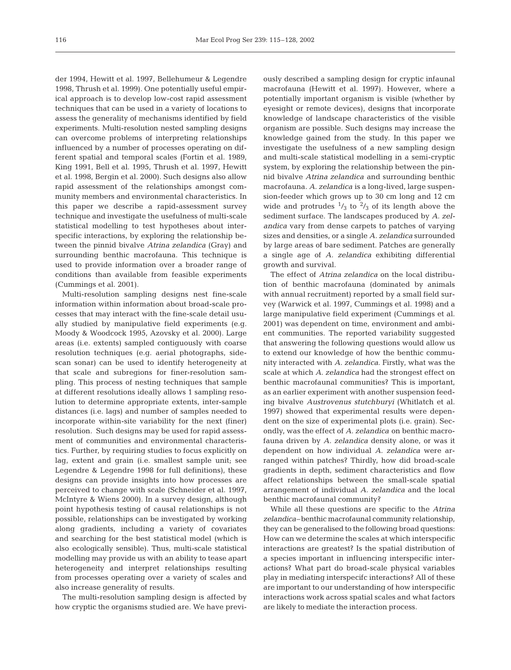der 1994, Hewitt et al. 1997, Bellehumeur & Legendre 1998, Thrush et al. 1999). One potentially useful empirical approach is to develop low-cost rapid assessment techniques that can be used in a variety of locations to assess the generality of mechanisms identified by field experiments. Multi-resolution nested sampling designs can overcome problems of interpreting relationships influenced by a number of processes operating on different spatial and temporal scales (Fortin et al. 1989, King 1991, Bell et al. 1995, Thrush et al. 1997, Hewitt et al. 1998, Bergin et al. 2000). Such designs also allow rapid assessment of the relationships amongst community members and environmental characteristics. In this paper we describe a rapid-assessment survey technique and investigate the usefulness of multi-scale statistical modelling to test hypotheses about interspecific interactions, by exploring the relationship between the pinnid bivalve *Atrina zelandica* (Gray) and surrounding benthic macrofauna. This technique is used to provide information over a broader range of conditions than available from feasible experiments (Cummings et al. 2001).

Multi-resolution sampling designs nest fine-scale information within information about broad-scale processes that may interact with the fine-scale detail usually studied by manipulative field experiments (e.g. Moody & Woodcock 1995, Azovsky et al. 2000). Large areas (i.e. extents) sampled contiguously with coarse resolution techniques (e.g. aerial photographs, sidescan sonar) can be used to identify heterogeneity at that scale and subregions for finer-resolution sampling. This process of nesting techniques that sample at different resolutions ideally allows 1 sampling resolution to determine appropriate extents, inter-sample distances (i.e. lags) and number of samples needed to incorporate within-site variability for the next (finer) resolution. Such designs may be used for rapid assessment of communities and environmental characteristics. Further, by requiring studies to focus explicitly on lag, extent and grain (i.e. smallest sample unit; see Legendre & Legendre 1998 for full definitions), these designs can provide insights into how processes are perceived to change with scale (Schneider et al. 1997, McIntyre & Wiens 2000). In a survey design, although point hypothesis testing of causal relationships is not possible, relationships can be investigated by working along gradients, including a variety of covariates and searching for the best statistical model (which is also ecologically sensible). Thus, multi-scale statistical modelling may provide us with an ability to tease apart heterogeneity and interpret relationships resulting from processes operating over a variety of scales and also increase generality of results.

The multi-resolution sampling design is affected by how cryptic the organisms studied are. We have previously described a sampling design for cryptic infaunal macrofauna (Hewitt et al. 1997). However, where a potentially important organism is visible (whether by eyesight or remote devices), designs that incorporate knowledge of landscape characteristics of the visible organism are possible. Such designs may increase the knowledge gained from the study. In this paper we investigate the usefulness of a new sampling design and multi-scale statistical modelling in a semi-cryptic system, by exploring the relationship between the pinnid bivalve *Atrina zelandica* and surrounding benthic macrofauna. *A. zelandica* is a long-lived, large suspension-feeder which grows up to 30 cm long and 12 cm wide and protrudes  $\frac{1}{3}$  to  $\frac{2}{3}$  of its length above the sediment surface. The landscapes produced by *A. zelandica* vary from dense carpets to patches of varying sizes and densities, or a single *A. zelandica* surrounded by large areas of bare sediment. Patches are generally a single age of *A. zelandica* exhibiting differential growth and survival.

The effect of *Atrina zelandica* on the local distribution of benthic macrofauna (dominated by animals with annual recruitment) reported by a small field survey (Warwick et al. 1997, Cummings et al. 1998) and a large manipulative field experiment (Cummings et al. 2001) was dependent on time, environment and ambient communities. The reported variability suggested that answering the following questions would allow us to extend our knowledge of how the benthic community interacted with *A. zelandica*. Firstly, what was the scale at which *A. zelandica* had the strongest effect on benthic macrofaunal communities? This is important, as an earlier experiment with another suspension feeding bivalve *Austrovenus stutchburyi* (Whitlatch et al. 1997) showed that experimental results were dependent on the size of experimental plots (i.e. grain). Secondly, was the effect of *A. zelandica* on benthic macrofauna driven by *A. zelandica* density alone, or was it dependent on how individual *A. zelandica* were arranged within patches? Thirdly, how did broad-scale gradients in depth, sediment characteristics and flow affect relationships between the small-scale spatial arrangement of individual *A. zelandica* and the local benthic macrofaunal community?

While all these questions are specific to the *Atrina zelandica*–benthic macrofaunal community relationship, they can be generalised to the following broad questions: How can we determine the scales at which interspecific interactions are greatest? Is the spatial distribution of a species important in influencing interspecific interactions? What part do broad-scale physical variables play in mediating interspecifc interactions? All of these are important to our understanding of how interspecific interactions work across spatial scales and what factors are likely to mediate the interaction process.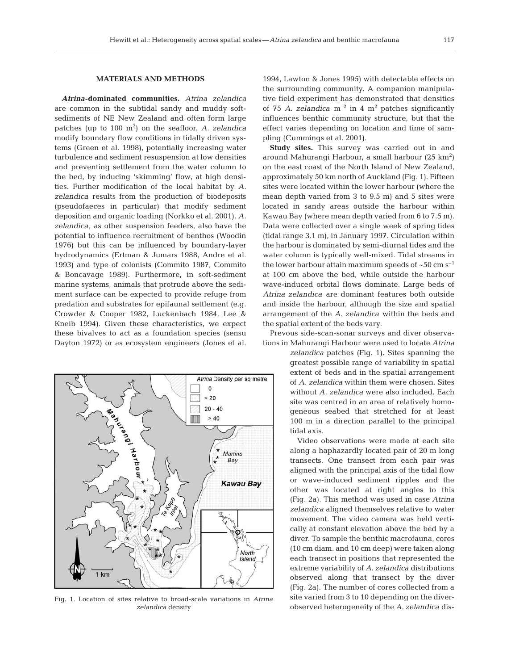#### **MATERIALS AND METHODS**

*Atrina***-dominated communities.** *Atrina zelandica* are common in the subtidal sandy and muddy softsediments of NE New Zealand and often form large patches (up to 100 m<sup>2</sup> ) on the seafloor. *A. zelandica* modify boundary flow conditions in tidally driven systems (Green et al. 1998), potentially increasing water turbulence and sediment resuspension at low densities and preventing settlement from the water column to the bed, by inducing 'skimming' flow, at high densities. Further modification of the local habitat by *A. zelandica* results from the production of biodeposits (pseudofaeces in particular) that modify sediment deposition and organic loading (Norkko et al. 2001). *A. zelandica*, as other suspension feeders, also have the potential to influence recruitment of benthos (Woodin 1976) but this can be influenced by boundary-layer hydrodynamics (Ertman & Jumars 1988, Andre et al. 1993) and type of colonists (Commito 1987, Commito & Boncavage 1989). Furthermore, in soft-sediment marine systems, animals that protrude above the sediment surface can be expected to provide refuge from predation and substrates for epifaunal settlement (e.g. Crowder & Cooper 1982, Luckenbach 1984, Lee & Kneib 1994). Given these characteristics, we expect these bivalves to act as a foundation species (sensu Dayton 1972) or as ecosystem engineers (Jones et al.



Fig. 1. Location of sites relative to broad-scale variations in *Atrina zelandica* density

1994, Lawton & Jones 1995) with detectable effects on the surrounding community. A companion manipulative field experiment has demonstrated that densities of 75 *A. zelandica*  $m^{-2}$  in 4  $m^2$  patches significantly influences benthic community structure, but that the effect varies depending on location and time of sampling (Cummings et al. 2001).

**Study sites.** This survey was carried out in and around Mahurangi Harbour, a small harbour  $(25 \text{ km}^2)$ on the east coast of the North Island of New Zealand, approximately 50 km north of Auckland (Fig. 1). Fifteen sites were located within the lower harbour (where the mean depth varied from 3 to 9.5 m) and 5 sites were located in sandy areas outside the harbour within Kawau Bay (where mean depth varied from 6 to 7.5 m). Data were collected over a single week of spring tides (tidal range 3.1 m), in January 1997. Circulation within the harbour is dominated by semi-diurnal tides and the water column is typically well-mixed. Tidal streams in the lower harbour attain maximum speeds of  $\sim$  50 cm s<sup>-1</sup> at 100 cm above the bed, while outside the harbour wave-induced orbital flows dominate. Large beds of *Atrina zelandica* are dominant features both outside and inside the harbour, although the size and spatial arrangement of the *A. zelandica* within the beds and the spatial extent of the beds vary.

Prevous side-scan-sonar surveys and diver observations in Mahurangi Harbour were used to locate *Atrina*

> *zelandica* patches (Fig. 1). Sites spanning the greatest possible range of variability in spatial extent of beds and in the spatial arrangement of *A. zelandica* within them were chosen. Sites without *A. zelandica* were also included. Each site was centred in an area of relatively homogeneous seabed that stretched for at least 100 m in a direction parallel to the principal tidal axis.

> Video observations were made at each site along a haphazardly located pair of 20 m long transects. One transect from each pair was aligned with the principal axis of the tidal flow or wave-induced sediment ripples and the other was located at right angles to this (Fig. 2a). This method was used in case *Atrina zelandica* aligned themselves relative to water movement. The video camera was held vertically at constant elevation above the bed by a diver. To sample the benthic macrofauna, cores (10 cm diam. and 10 cm deep) were taken along each transect in positions that represented the extreme variability of *A. zelandica* distributions observed along that transect by the diver (Fig. 2a). The number of cores collected from a site varied from 3 to 10 depending on the diverobserved heterogeneity of the *A. zelandica* dis-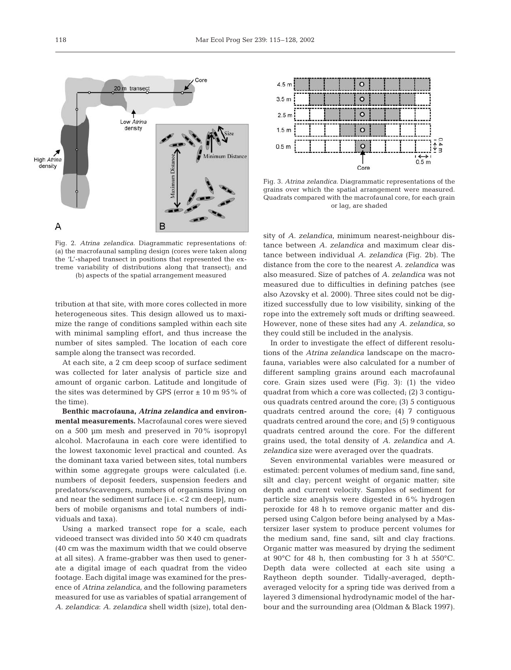

Fig. 2. *Atrina zelandica*. Diagrammatic representations of: (a) the macrofaunal sampling design (cores were taken along the 'L'-shaped transect in positions that represented the extreme variability of distributions along that transect); and (b) aspects of the spatial arrangement measured

tribution at that site, with more cores collected in more heterogeneous sites. This design allowed us to maximize the range of conditions sampled within each site with minimal sampling effort, and thus increase the number of sites sampled. The location of each core sample along the transect was recorded.

At each site, a 2 cm deep scoop of surface sediment was collected for later analysis of particle size and amount of organic carbon. Latitude and longitude of the sites was determined by GPS (error  $\pm$  10 m 95% of the time).

**Benthic macrofauna,** *Atrina zelandica* **and environmental measurements.** Macrofaunal cores were sieved on a 500 µm mesh and preserved in 70% isopropyl alcohol. Macrofauna in each core were identified to the lowest taxonomic level practical and counted. As the dominant taxa varied between sites, total numbers within some aggregate groups were calculated (i.e. numbers of deposit feeders, suspension feeders and predators/scavengers, numbers of organisms living on and near the sediment surface [i.e. <2 cm deep], numbers of mobile organisms and total numbers of individuals and taxa).

Using a marked transect rope for a scale, each videoed transect was divided into  $50 \times 40$  cm quadrats (40 cm was the maximum width that we could observe at all sites). A frame-grabber was then used to generate a digital image of each quadrat from the video footage. Each digital image was examined for the presence of *Atrina zelandica,* and the following parameters measured for use as variables of spatial arrangement of *A. zelandica*: *A. zelandica* shell width (size), total den-



Fig. 3. *Atrina zelandica*. Diagrammatic representations of the grains over which the spatial arrangement were measured. Quadrats compared with the macrofaunal core, for each grain or lag, are shaded

sity of *A. zelandica*, minimum nearest-neighbour distance between *A. zelandica* and maximum clear distance between individual *A. zelandica* (Fig. 2b). The distance from the core to the nearest *A. zelandica* was also measured. Size of patches of *A. zelandica* was not measured due to difficulties in defining patches (see also Azovsky et al. 2000). Three sites could not be digitized successfully due to low visibility, sinking of the rope into the extremely soft muds or drifting seaweed. However, none of these sites had any *A. zelandica*, so they could still be included in the analysis.

In order to investigate the effect of different resolutions of the *Atrina zelandica* landscape on the macrofauna, variables were also calculated for a number of different sampling grains around each macrofaunal core. Grain sizes used were (Fig. 3): (1) the video quadrat from which a core was collected; (2) 3 contiguous quadrats centred around the core; (3) 5 contiguous quadrats centred around the core; (4) 7 contiguous quadrats centred around the core; and (5) 9 contiguous quadrats centred around the core. For the different grains used, the total density of *A. zelandica* and *A. zelandica* size were averaged over the quadrats.

Seven environmental variables were measured or estimated: percent volumes of medium sand, fine sand, silt and clay; percent weight of organic matter; site depth and current velocity. Samples of sediment for particle size analysis were digested in 6% hydrogen peroxide for 48 h to remove organic matter and dispersed using Calgon before being analysed by a Mastersizer laser system to produce percent volumes for the medium sand, fine sand, silt and clay fractions. Organic matter was measured by drying the sediment at 90°C for 48 h, then combusting for 3 h at 550°C. Depth data were collected at each site using a Raytheon depth sounder. Tidally-averaged, depthaveraged velocity for a spring tide was derived from a layered 3 dimensional hydrodynamic model of the harbour and the surrounding area (Oldman & Black 1997).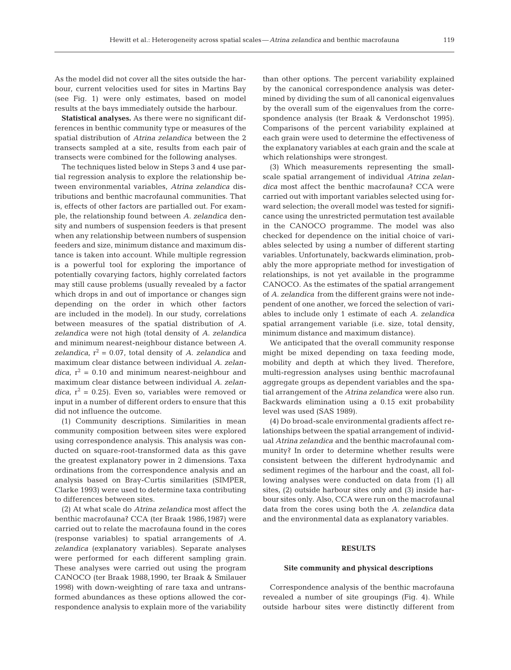As the model did not cover all the sites outside the harbour, current velocities used for sites in Martins Bay (see Fig. 1) were only estimates, based on model results at the bays immediately outside the harbour.

**Statistical analyses.** As there were no significant differences in benthic community type or measures of the spatial distribution of *Atrina zelandica* between the 2 transects sampled at a site, results from each pair of transects were combined for the following analyses.

The techniques listed below in Steps 3 and 4 use partial regression analysis to explore the relationship between environmental variables, *Atrina zelandica* distributions and benthic macrofaunal communities. That is, effects of other factors are partialled out. For example, the relationship found between *A. zelandica* density and numbers of suspension feeders is that present when any relationship between numbers of suspension feeders and size, minimum distance and maximum distance is taken into account. While multiple regression is a powerful tool for exploring the importance of potentially covarying factors, highly correlated factors may still cause problems (usually revealed by a factor which drops in and out of importance or changes sign depending on the order in which other factors are included in the model). In our study, correlations between measures of the spatial distribution of *A. zelandica* were not high (total density of *A. zelandica* and minimum nearest-neighbour distance between *A. zelandica*,  $r^2 = 0.07$ , total density of *A. zelandica* and maximum clear distance between individual *A. zelan* $dica$ ,  $r^2 = 0.10$  and minimum nearest-neighbour and maximum clear distance between individual *A. zelan* $dica$ ,  $r^2 = 0.25$ ). Even so, variables were removed or input in a number of different orders to ensure that this did not influence the outcome.

(1) Community descriptions*.* Similarities in mean community composition between sites were explored using correspondence analysis. This analysis was conducted on square-root-transformed data as this gave the greatest explanatory power in 2 dimensions. Taxa ordinations from the correspondence analysis and an analysis based on Bray-Curtis similarities (SIMPER, Clarke 1993) were used to determine taxa contributing to differences between sites.

(2) At what scale do *Atrina zelandica* most affect the benthic macrofauna? CCA (ter Braak 1986,1987) were carried out to relate the macrofauna found in the cores (response variables) to spatial arrangements of *A. zelandica* (explanatory variables). Separate analyses were performed for each different sampling grain. These analyses were carried out using the program CANOCO (ter Braak 1988,1990, ter Braak & Smilauer 1998) with down-weighting of rare taxa and untransformed abundances as these options allowed the correspondence analysis to explain more of the variability

than other options. The percent variability explained by the canonical correspondence analysis was determined by dividing the sum of all canonical eigenvalues by the overall sum of the eigenvalues from the correspondence analysis (ter Braak & Verdonschot 1995). Comparisons of the percent variability explained at each grain were used to determine the effectiveness of the explanatory variables at each grain and the scale at which relationships were strongest.

(3) Which measurements representing the smallscale spatial arrangement of individual *Atrina zelandica* most affect the benthic macrofauna? CCA were carried out with important variables selected using forward selection; the overall model was tested for significance using the unrestricted permutation test available in the CANOCO programme. The model was also checked for dependence on the initial choice of variables selected by using a number of different starting variables. Unfortunately, backwards elimination, probably the more appropriate method for investigation of relationships, is not yet available in the programme CANOCO. As the estimates of the spatial arrangement of *A. zelandica* from the different grains were not independent of one another, we forced the selection of variables to include only 1 estimate of each *A. zelandica* spatial arrangement variable (i.e. size, total density, minimum distance and maximum distance).

We anticipated that the overall community response might be mixed depending on taxa feeding mode, mobility and depth at which they lived. Therefore, multi-regression analyses using benthic macrofaunal aggregate groups as dependent variables and the spatial arrangement of the *Atrina zelandica* were also run. Backwards elimination using a 0.15 exit probability level was used (SAS 1989).

(4) Do broad-scale environmental gradients affect relationships between the spatial arrangement of individual *Atrina zelandica* and the benthic macrofaunal community? In order to determine whether results were consistent between the different hydrodynamic and sediment regimes of the harbour and the coast, all following analyses were conducted on data from (1) all sites, (2) outside harbour sites only and (3) inside harbour sites only. Also, CCA were run on the macrofaunal data from the cores using both the *A. zelandica* data and the environmental data as explanatory variables.

#### **RESULTS**

### **Site community and physical descriptions**

Correspondence analysis of the benthic macrofauna revealed a number of site groupings (Fig. 4). While outside harbour sites were distinctly different from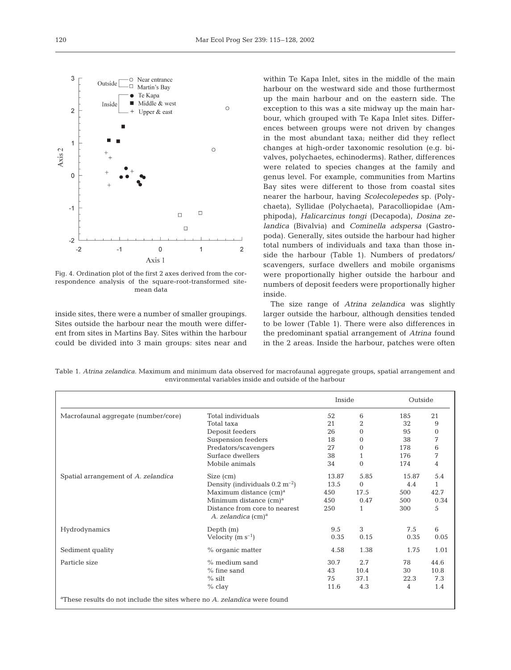

Fig. 4. Ordination plot of the first 2 axes derived from the correspondence analysis of the square-root-transformed sitemean data

inside sites, there were a number of smaller groupings. Sites outside the harbour near the mouth were different from sites in Martins Bay. Sites within the harbour could be divided into 3 main groups: sites near and

within Te Kapa Inlet, sites in the middle of the main harbour on the westward side and those furthermost up the main harbour and on the eastern side. The exception to this was a site midway up the main harbour, which grouped with Te Kapa Inlet sites. Differences between groups were not driven by changes in the most abundant taxa; neither did they reflect changes at high-order taxonomic resolution (e.g. bivalves, polychaetes, echinoderms). Rather, differences were related to species changes at the family and genus level. For example, communities from Martins Bay sites were different to those from coastal sites nearer the harbour, having *Scolecolepedes* sp. (Polychaeta), Syllidae (Polychaeta), Paracolliopidae (Amphipoda), *Halicarcinus tongi* (Decapoda), *Dosina zelandica* (Bivalvia) and *Cominella adspersa* (Gastropoda). Generally, sites outside the harbour had higher total numbers of individuals and taxa than those inside the harbour (Table 1). Numbers of predators/ scavengers, surface dwellers and mobile organisms were proportionally higher outside the harbour and numbers of deposit feeders were proportionally higher inside.

The size range of *Atrina zelandica* was slightly larger outside the harbour, although densities tended to be lower (Table 1). There were also differences in the predominant spatial arrangement of *Atrina* found in the 2 areas. Inside the harbour, patches were often

Table 1. *Atrina zelandica*. Maximum and minimum data observed for macrofaunal aggregate groups, spatial arrangement and environmental variables inside and outside of the harbour

|                                                                                      |                                                        | Inside |                | Outside |              |
|--------------------------------------------------------------------------------------|--------------------------------------------------------|--------|----------------|---------|--------------|
| Macrofaunal aggregate (number/core)                                                  | Total individuals                                      | 52     | 6              | 185     | 21           |
|                                                                                      | Total taxa                                             | 21     | $\overline{2}$ | 32      | 9            |
|                                                                                      | Deposit feeders                                        | 26     | $\Omega$       | 95      | $\Omega$     |
|                                                                                      | Suspension feeders                                     | 18     | $\Omega$       | 38      | 7            |
|                                                                                      | Predators/scavengers                                   | 27     | $\Omega$       | 178     | 6            |
|                                                                                      | Surface dwellers                                       | 38     | 1              | 176     | 7            |
|                                                                                      | Mobile animals                                         | 34     | $\Omega$       | 174     | 4            |
| Spatial arrangement of A. zelandica                                                  | Size (cm)                                              | 13.87  | 5.85           | 15.87   | 5.4          |
|                                                                                      | Density (individuals $0.2 \text{ m}^{-2}$ )            | 13.5   | $\Omega$       | 4.4     | $\mathbf{1}$ |
|                                                                                      | Maximum distance $(cm)a$                               | 450    | 17.5           | 500     | 42.7         |
|                                                                                      | Minimum distance $(cm)a$                               | 450    | 0.47           | 500     | 0.34         |
|                                                                                      | Distance from core to nearest<br>A. zelandica $(cm)^a$ | 250    | 1              | 300     | 5            |
| Hydrodynamics                                                                        | Depth $(m)$                                            | 9.5    | 3              | 7.5     | 6            |
|                                                                                      | Velocity ( $m s^{-1}$ )                                | 0.35   | 0.15           | 0.35    | 0.05         |
| Sediment quality                                                                     | % organic matter                                       | 4.58   | 1.38           | 1.75    | 1.01         |
| Particle size                                                                        | $%$ medium sand                                        | 30.7   | 2.7            | 78      | 44.6         |
|                                                                                      | $%$ fine sand                                          | 43     | 10.4           | 30      | 10.8         |
|                                                                                      | $%$ silt                                               | 75     | 37.1           | 22.3    | 7.3          |
|                                                                                      | $%$ clay                                               | 11.6   | 4.3            | 4       | 1.4          |
| <sup>a</sup> These results do not include the sites where no A, zelandica were found |                                                        |        |                |         |              |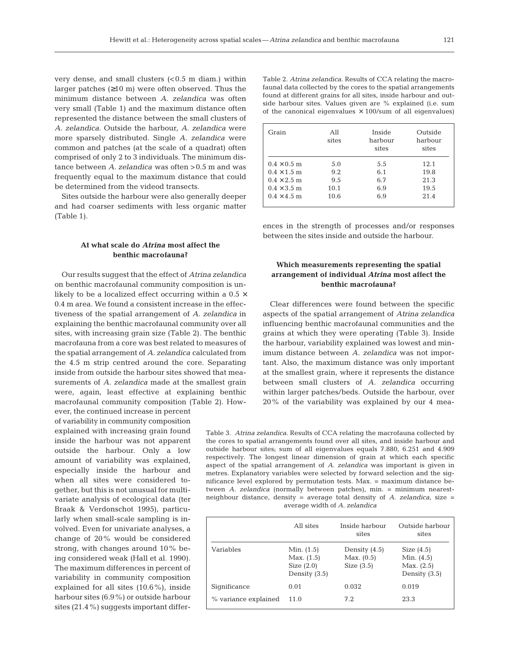very dense, and small clusters  $( $0.5 \text{ m}$  diam.)$  within larger patches (≥10 m) were often observed. Thus the minimum distance between *A. zelandica* was often very small (Table 1) and the maximum distance often represented the distance between the small clusters of *A. zelandica*. Outside the harbour, *A. zelandica* were more sparsely distributed. Single *A. zelandica* were common and patches (at the scale of a quadrat) often comprised of only 2 to 3 individuals. The minimum distance between *A. zelandica* was often >0.5 m and was frequently equal to the maximum distance that could be determined from the videod transects.

Sites outside the harbour were also generally deeper and had coarser sediments with less organic matter (Table 1).

## **At what scale do** *Atrina* **most affect the benthic macrofauna?**

Our results suggest that the effect of *Atrina zelandica* on benthic macrofaunal community composition is unlikely to be a localized effect occurring within a  $0.5 \times$ 0.4 m area. We found a consistent increase in the effectiveness of the spatial arrangement of *A. zelandica* in explaining the benthic macrofaunal community over all sites, with increasing grain size (Table 2). The benthic macrofauna from a core was best related to measures of the spatial arrangement of *A. zelandica* calculated from the 4.5 m strip centred around the core. Separating inside from outside the harbour sites showed that measurements of *A. zelandica* made at the smallest grain were, again, least effective at explaining benthic macrofaunal community composition (Table 2). How-

ever, the continued increase in percent of variability in community composition explained with increasing grain found inside the harbour was not apparent outside the harbour. Only a low amount of variability was explained, especially inside the harbour and when all sites were considered together, but this is not unusual for multivariate analysis of ecological data (ter Braak & Verdonschot 1995), particularly when small-scale sampling is involved. Even for univariate analyses, a change of 20% would be considered strong, with changes around 10% being considered weak (Hall et al. 1990). The maximum differences in percent of variability in community composition explained for all sites (10.6%), inside harbour sites (6.9%) or outside harbour sites (21.4%) suggests important differ-

Table 2. *Atrina zelandica*. Results of CCA relating the macrofaunal data collected by the cores to the spatial arrangements found at different grains for all sites, inside harbour and outside harbour sites. Values given are % explained (i.e. sum of the canonical eigenvalues  $\times$  100/sum of all eigenvalues)

| Grain              | All<br>sites | Inside<br>harbour<br>sites | Outside<br>harbour<br>sites |
|--------------------|--------------|----------------------------|-----------------------------|
| $0.4 \times 0.5$ m | 5.0          | 5.5                        | 12.1                        |
| $0.4 \times 1.5$ m | 9.2          | 6.1                        | 19.8                        |
| $0.4 \times 2.5$ m | 9.5          | 6.7                        | 21.3                        |
| $0.4 \times 3.5$ m | 10.1         | 6.9                        | 19.5                        |
| $0.4 \times 4.5$ m | 10.6         | 6.9                        | 21.4                        |

ences in the strength of processes and/or responses between the sites inside and outside the harbour.

# **Which measurements representing the spatial arrangement of individual** *Atrina* **most affect the benthic macrofauna?**

Clear differences were found between the specific aspects of the spatial arrangement of *Atrina zelandica* influencing benthic macrofaunal communities and the grains at which they were operating (Table 3). Inside the harbour, variability explained was lowest and minimum distance between *A. zelandica* was not important. Also, the maximum distance was only important at the smallest grain, where it represents the distance between small clusters of *A. zelandica* occurring within larger patches/beds. Outside the harbour, over 20% of the variability was explained by our 4 mea-

Table 3. *Atrina zelandica*. Results of CCA relating the macrofauna collected by the cores to spatial arrangements found over all sites, and inside harbour and outside harbour sites; sum of all eigenvalues equals 7.880, 6.251 and 4.909 respectively. The longest linear dimension of grain at which each specific aspect of the spatial arrangement of *A. zelandica* was important is given in metres. Explanatory variables were selected by forward selection and the significance level explored by permutation tests. Max. = maximum distance between *A. zelandica* (normally between patches), min. = minimum nearestneighbour distance, density = average total density of *A. zelandica*, size = average width of *A. zelandica*

|                      | All sites                                                       | Inside harbour<br>sites                         | Outside harbour<br>sites                                        |
|----------------------|-----------------------------------------------------------------|-------------------------------------------------|-----------------------------------------------------------------|
| Variables            | Min. $(1.5)$<br>Max. $(1.5)$<br>Size $(2.0)$<br>Density $(3.5)$ | Density $(4.5)$<br>Max. $(0.5)$<br>Size $(3.5)$ | Size $(4.5)$<br>Min. $(4.5)$<br>Max. $(2.5)$<br>Density $(3.5)$ |
| Significance         | 0.01                                                            | 0.032                                           | 0.019                                                           |
| % variance explained | 11.0                                                            | 7.2                                             | 23.3                                                            |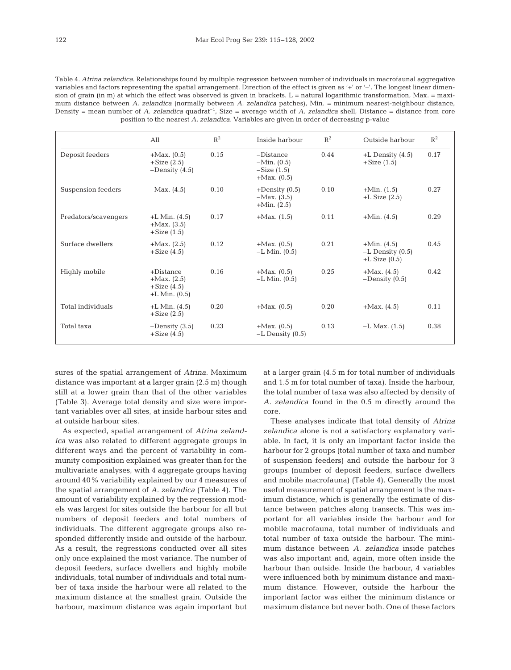|                      | All                                                               | $R^2$ | Inside harbour                                                | $R^2$ | Outside harbour                                            | $R^2$ |
|----------------------|-------------------------------------------------------------------|-------|---------------------------------------------------------------|-------|------------------------------------------------------------|-------|
| Deposit feeders      | $+Max. (0.5)$<br>$+Size(2.5)$<br>$-Density(4.5)$                  | 0.15  | $-Distance$<br>$-Min. (0.5)$<br>$-Size(1.5)$<br>$+Max. (0.5)$ | 0.44  | $+L$ Density $(4.5)$<br>$+Size(1.5)$                       | 0.17  |
| Suspension feeders   | $-Max. (4.5)$                                                     | 0.10  | $+$ Density $(0.5)$<br>$-Max. (3.5)$<br>$+Min. (2.5)$         | 0.10  | $+Min. (1.5)$<br>$+L$ Size $(2.5)$                         | 0.27  |
| Predators/scavengers | $+L$ Min. $(4.5)$<br>$+Max. (3.5)$<br>$+Size(1.5)$                | 0.17  | $+Max. (1.5)$                                                 | 0.11  | $+Min. (4.5)$                                              | 0.29  |
| Surface dwellers     | $+Max. (2.5)$<br>$+Size(4.5)$                                     | 0.12  | $+Max. (0.5)$<br>$-L$ Min. $(0.5)$                            | 0.21  | $+Min. (4.5)$<br>$-L$ Density $(0.5)$<br>$+L$ Size $(0.5)$ | 0.45  |
| Highly mobile        | $+Distance$<br>$+Max. (2.5)$<br>$+Size(4.5)$<br>$+L$ Min. $(0.5)$ | 0.16  | $+Max. (0.5)$<br>$-L$ Min. $(0.5)$                            | 0.25  | $+Max. (4.5)$<br>$-Density(0.5)$                           | 0.42  |
| Total individuals    | $+L$ Min. $(4.5)$<br>$+Size(2.5)$                                 | 0.20  | $+Max. (0.5)$                                                 | 0.20  | $+Max. (4.5)$                                              | 0.11  |
| Total taxa           | $-Density (3.5)$<br>$+Size(4.5)$                                  | 0.23  | $+Max. (0.5)$<br>$-L$ Density $(0.5)$                         | 0.13  | $-L$ Max. $(1.5)$                                          | 0.38  |

sures of the spatial arrangement of *Atrina.* Maximum distance was important at a larger grain (2.5 m) though still at a lower grain than that of the other variables (Table 3). Average total density and size were important variables over all sites, at inside harbour sites and at outside harbour sites.

As expected, spatial arrangement of *Atrina zelandica* was also related to different aggregate groups in different ways and the percent of variability in community composition explained was greater than for the multivariate analyses, with 4 aggregate groups having around 40% variability explained by our 4 measures of the spatial arrangement of *A. zelandica* (Table 4). The amount of variability explained by the regression models was largest for sites outside the harbour for all but numbers of deposit feeders and total numbers of individuals. The different aggregate groups also responded differently inside and outside of the harbour. As a result, the regressions conducted over all sites only once explained the most variance. The number of deposit feeders, surface dwellers and highly mobile individuals, total number of individuals and total number of taxa inside the harbour were all related to the maximum distance at the smallest grain. Outside the harbour, maximum distance was again important but

at a larger grain (4.5 m for total number of individuals and 1.5 m for total number of taxa). Inside the harbour, the total number of taxa was also affected by density of *A. zelandica* found in the 0.5 m directly around the core.

These analyses indicate that total density of *Atrina zelandica* alone is not a satisfactory explanatory variable. In fact, it is only an important factor inside the harbour for 2 groups (total number of taxa and number of suspension feeders) and outside the harbour for 3 groups (number of deposit feeders, surface dwellers and mobile macrofauna) (Table 4). Generally the most useful measurement of spatial arrangement is the maximum distance, which is generally the estimate of distance between patches along transects. This was important for all variables inside the harbour and for mobile macrofauna, total number of individuals and total number of taxa outside the harbour. The minimum distance between *A. zelandica* inside patches was also important and, again, more often inside the harbour than outside. Inside the harbour, 4 variables were influenced both by minimum distance and maximum distance. However, outside the harbour the important factor was either the minimum distance or maximum distance but never both. One of these factors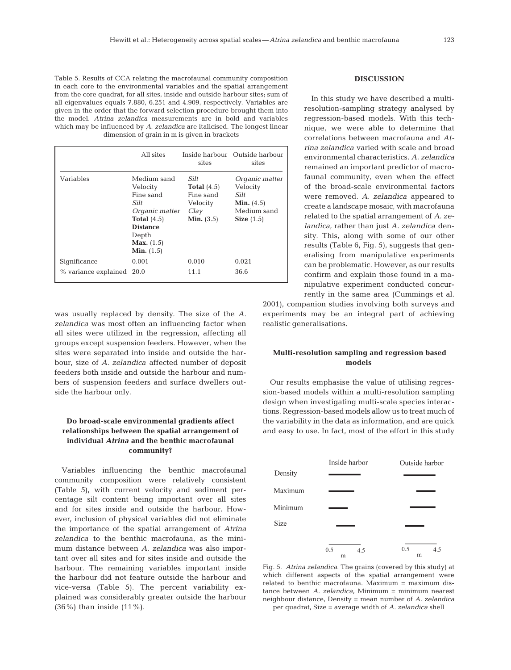Table 5. Results of CCA relating the macrofaunal community composition in each core to the environmental variables and the spatial arrangement from the core quadrat, for all sites, inside and outside harbour sites; sum of all eigenvalues equals 7.880, 6.251 and 4.909, respectively. Variables are given in the order that the forward selection procedure brought them into the model. *Atrina zelandica* measurements are in bold and variables which may be influenced by *A. zelandica* are italicised. The longest linear dimension of grain in m is given in brackets

|                      | All sites                                                                                                                                                 | sites                                                                                | Inside harbour Outside harbour<br>sites                                                  |
|----------------------|-----------------------------------------------------------------------------------------------------------------------------------------------------------|--------------------------------------------------------------------------------------|------------------------------------------------------------------------------------------|
| Variables            | Medium sand<br>Velocity<br>Fine sand<br>Silt<br>Organic matter<br>Total $(4.5)$<br><b>Distance</b><br>Depth<br><b>Max.</b> $(1.5)$<br><b>Min.</b> $(1.5)$ | <b>Silt</b><br>Total $(4.5)$<br>Fine sand<br>Velocity<br>Clav<br><b>Min.</b> $(3.5)$ | Organic matter<br>Velocity<br>Silt<br><b>Min.</b> $(4.5)$<br>Medium sand<br>Size $(1.5)$ |
| Significance         | 0.001                                                                                                                                                     | 0.010                                                                                | 0.021                                                                                    |
| % variance explained | 20.0                                                                                                                                                      | 11.1                                                                                 | 36.6                                                                                     |

was usually replaced by density. The size of the *A. zelandica* was most often an influencing factor when all sites were utilized in the regression, affecting all groups except suspension feeders. However, when the sites were separated into inside and outside the harbour, size of *A. zelandica* affected number of deposit feeders both inside and outside the harbour and numbers of suspension feeders and surface dwellers outside the harbour only.

# **Do broad-scale environmental gradients affect relationships between the spatial arrangement of individual** *Atrina* **and the benthic macrofaunal community?**

Variables influencing the benthic macrofaunal community composition were relatively consistent (Table 5), with current velocity and sediment percentage silt content being important over all sites and for sites inside and outside the harbour. However, inclusion of physical variables did not eliminate the importance of the spatial arrangement of *Atrina zelandica* to the benthic macrofauna, as the minimum distance between *A. zelandica* was also important over all sites and for sites inside and outside the harbour. The remaining variables important inside the harbour did not feature outside the harbour and vice-versa (Table 5). The percent variability explained was considerably greater outside the harbour (36%) than inside (11%).

### **DISCUSSION**

In this study we have described a multiresolution-sampling strategy analysed by regression-based models. With this technique, we were able to determine that correlations between macrofauna and *Atrina zelandica* varied with scale and broad environmental characteristics. *A. zelandica* remained an important predictor of macrofaunal community, even when the effect of the broad-scale environmental factors were removed. *A. zelandica* appeared to create a landscape mosaic, with macrofauna related to the spatial arrangement of *A. zelandica*, rather than just *A. zelandica* density. This, along with some of our other results (Table 6, Fig. 5), suggests that generalising from manipulative experiments can be problematic. However, as our results confirm and explain those found in a manipulative experiment conducted concurrently in the same area (Cummings et al.

2001), companion studies involving both surveys and experiments may be an integral part of achieving realistic generalisations.

## **Multi-resolution sampling and regression based models**

Our results emphasise the value of utilising regression-based models within a multi-resolution sampling design when investigating multi-scale species interactions. Regression-based models allow us to treat much of the variability in the data as information, and are quick and easy to use. In fact, most of the effort in this study



Fig. 5. *Atrina zelandica*. The grains (covered by this study) at which different aspects of the spatial arrangement were related to benthic macrofauna. Maximum  $=$  maximum distance between *A. zelandica*, Minimum = minimum nearest neighbour distance, Density = mean number of *A. zelandica*

per quadrat, Size = average width of *A. zelandica* shell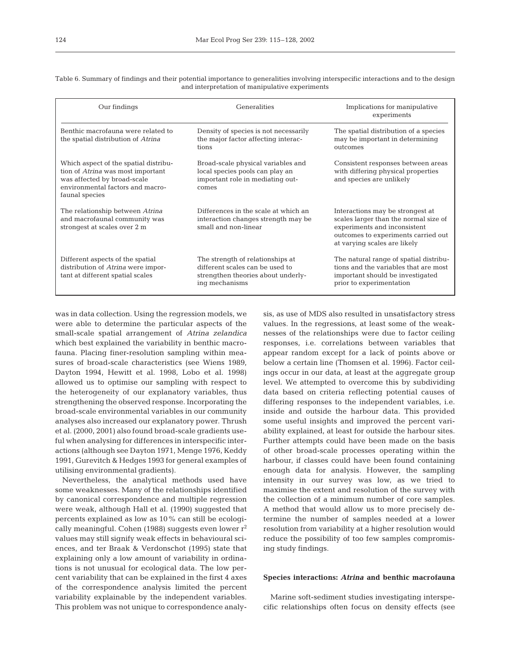| Table 6. Summary of findings and their potential importance to generalities involving interspecific interactions and to the design |  |
|------------------------------------------------------------------------------------------------------------------------------------|--|
| and interpretation of manipulative experiments                                                                                     |  |

| Our findings                                                                                                                                                           | Generalities                                                                                                                | Implications for manipulative<br>experiments                                                                                                                                     |
|------------------------------------------------------------------------------------------------------------------------------------------------------------------------|-----------------------------------------------------------------------------------------------------------------------------|----------------------------------------------------------------------------------------------------------------------------------------------------------------------------------|
| Benthic macrofauna were related to<br>the spatial distribution of Atrina                                                                                               | Density of species is not necessarily<br>the major factor affecting interac-<br>tions                                       | The spatial distribution of a species<br>may be important in determining<br>outcomes                                                                                             |
| Which aspect of the spatial distribu-<br>tion of <i>Atrina</i> was most important<br>was affected by broad-scale<br>environmental factors and macro-<br>faunal species | Broad-scale physical variables and<br>local species pools can play an<br>important role in mediating out-<br>comes          | Consistent responses between areas<br>with differing physical properties<br>and species are unlikely                                                                             |
| The relationship between Atrina<br>and macrofaunal community was<br>strongest at scales over 2 m                                                                       | Differences in the scale at which an<br>interaction changes strength may be<br>small and non-linear                         | Interactions may be strongest at<br>scales larger than the normal size of<br>experiments and inconsistent<br>outcomes to experiments carried out<br>at varying scales are likely |
| Different aspects of the spatial<br>distribution of Atrina were impor-<br>tant at different spatial scales                                                             | The strength of relationships at<br>different scales can be used to<br>strengthen theories about underly-<br>ing mechanisms | The natural range of spatial distribu-<br>tions and the variables that are most<br>important should be investigated<br>prior to experimentation                                  |

was in data collection. Using the regression models, we were able to determine the particular aspects of the small-scale spatial arrangement of *Atrina zelandica* which best explained the variability in benthic macrofauna. Placing finer-resolution sampling within measures of broad-scale characteristics (see Wiens 1989, Dayton 1994, Hewitt et al. 1998, Lobo et al. 1998) allowed us to optimise our sampling with respect to the heterogeneity of our explanatory variables, thus strengthening the observed response. Incorporating the broad-scale environmental variables in our community analyses also increased our explanatory power. Thrush et al. (2000, 2001) also found broad-scale gradients useful when analysing for differences in interspecific interactions (although see Dayton 1971, Menge 1976, Keddy 1991, Gurevitch & Hedges 1993 for general examples of utilising environmental gradients).

Nevertheless, the analytical methods used have some weaknesses. Many of the relationships identified by canonical correspondence and multiple regression were weak, although Hall et al. (1990) suggested that percents explained as low as 10% can still be ecologically meaningful. Cohen (1988) suggests even lower  $r^2$ values may still signify weak effects in behavioural sciences, and ter Braak & Verdonschot (1995) state that explaining only a low amount of variability in ordinations is not unusual for ecological data. The low percent variability that can be explained in the first 4 axes of the correspondence analysis limited the percent variability explainable by the independent variables. This problem was not unique to correspondence analysis, as use of MDS also resulted in unsatisfactory stress values. In the regressions, at least some of the weaknesses of the relationships were due to factor ceiling responses, i.e. correlations between variables that appear random except for a lack of points above or below a certain line (Thomsen et al. 1996). Factor ceilings occur in our data, at least at the aggregate group level. We attempted to overcome this by subdividing data based on criteria reflecting potential causes of differing responses to the independent variables, i.e. inside and outside the harbour data. This provided some useful insights and improved the percent variability explained, at least for outside the harbour sites. Further attempts could have been made on the basis of other broad-scale processes operating within the harbour, if classes could have been found containing enough data for analysis. However, the sampling intensity in our survey was low, as we tried to maximise the extent and resolution of the survey with the collection of a minimum number of core samples. A method that would allow us to more precisely determine the number of samples needed at a lower resolution from variability at a higher resolution would reduce the possibility of too few samples compromising study findings.

## **Species interactions:** *Atrina* **and benthic macrofauna**

Marine soft-sediment studies investigating interspecific relationships often focus on density effects (see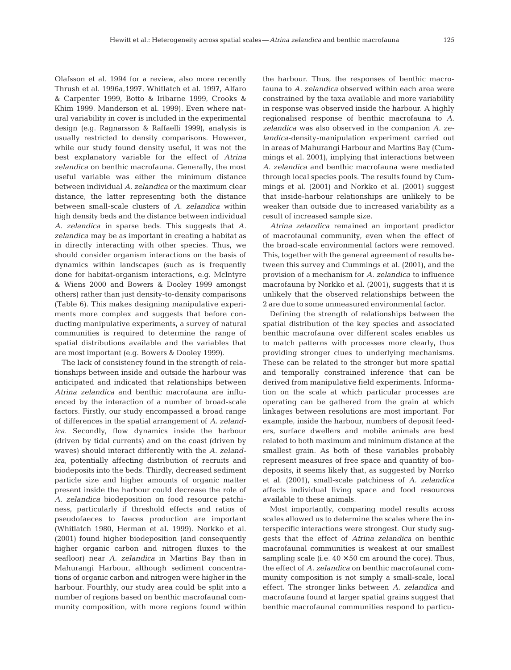Olafsson et al. 1994 for a review, also more recently Thrush et al. 1996a,1997, Whitlatch et al. 1997, Alfaro & Carpenter 1999, Botto & Iribarne 1999, Crooks & Khim 1999, Manderson et al. 1999). Even where natural variability in cover is included in the experimental design (e.g. Ragnarsson & Raffaelli 1999), analysis is usually restricted to density comparisons. However, while our study found density useful, it was not the best explanatory variable for the effect of *Atrina zelandica* on benthic macrofauna. Generally, the most useful variable was either the minimum distance between individual *A. zelandica* or the maximum clear distance, the latter representing both the distance between small-scale clusters of *A. zelandica* within high density beds and the distance between individual *A. zelandica* in sparse beds. This suggests that *A. zelandica* may be as important in creating a habitat as in directly interacting with other species. Thus, we should consider organism interactions on the basis of dynamics within landscapes (such as is frequently done for habitat-organism interactions, e.g. McIntyre & Wiens 2000 and Bowers & Dooley 1999 amongst others) rather than just density-to-density comparisons (Table 6). This makes designing manipulative experiments more complex and suggests that before conducting manipulative experiments, a survey of natural communities is required to determine the range of spatial distributions available and the variables that are most important (e.g. Bowers & Dooley 1999).

The lack of consistency found in the strength of relationships between inside and outside the harbour was anticipated and indicated that relationships between *Atrina zelandica* and benthic macrofauna are influenced by the interaction of a number of broad-scale factors. Firstly, our study encompassed a broad range of differences in the spatial arrangement of *A. zelandica*. Secondly, flow dynamics inside the harbour (driven by tidal currents) and on the coast (driven by waves) should interact differently with the *A. zelandica*, potentially affecting distribution of recruits and biodeposits into the beds. Thirdly, decreased sediment particle size and higher amounts of organic matter present inside the harbour could decrease the role of *A. zelandica* biodeposition on food resource patchiness, particularly if threshold effects and ratios of pseudofaeces to faeces production are important (Whitlatch 1980, Herman et al. 1999). Norkko et al. (2001) found higher biodeposition (and consequently higher organic carbon and nitrogen fluxes to the seafloor) near *A. zelandica* in Martins Bay than in Mahurangi Harbour, although sediment concentrations of organic carbon and nitrogen were higher in the harbour. Fourthly, our study area could be split into a number of regions based on benthic macrofaunal community composition, with more regions found within

the harbour. Thus, the responses of benthic macrofauna to *A. zelandica* observed within each area were constrained by the taxa available and more variability in response was observed inside the harbour. A highly regionalised response of benthic macrofauna to *A. zelandica* was also observed in the companion *A. zelandica*-density-manipulation experiment carried out in areas of Mahurangi Harbour and Martins Bay (Cummings et al. 2001), implying that interactions between *A. zelandica* and benthic macrofauna were mediated through local species pools. The results found by Cummings et al. (2001) and Norkko et al. (2001) suggest that inside-harbour relationships are unlikely to be weaker than outside due to increased variability as a result of increased sample size.

*Atrina zelandica* remained an important predictor of macrofaunal community, even when the effect of the broad-scale environmental factors were removed. This, together with the general agreement of results between this survey and Cummings et al. (2001), and the provision of a mechanism for *A. zelandica* to influence macrofauna by Norkko et al. (2001), suggests that it is unlikely that the observed relationships between the 2 are due to some unmeasured environmental factor.

Defining the strength of relationships between the spatial distribution of the key species and associated benthic macrofauna over different scales enables us to match patterns with processes more clearly, thus providing stronger clues to underlying mechanisms. These can be related to the stronger but more spatial and temporally constrained inference that can be derived from manipulative field experiments. Information on the scale at which particular processes are operating can be gathered from the grain at which linkages between resolutions are most important. For example, inside the harbour, numbers of deposit feeders, surface dwellers and mobile animals are best related to both maximum and minimum distance at the smallest grain. As both of these variables probably represent measures of free space and quantity of biodeposits, it seems likely that, as suggested by Norrko et al. (2001), small-scale patchiness of *A. zelandica* affects individual living space and food resources available to these animals.

Most importantly, comparing model results across scales allowed us to determine the scales where the interspecific interactions were strongest. Our study suggests that the effect of *Atrina zelandica* on benthic macrofaunal communities is weakest at our smallest sampling scale (i.e.  $40 \times 50$  cm around the core). Thus, the effect of *A. zelandica* on benthic macrofaunal community composition is not simply a small-scale, local effect. The stronger links between *A. zelandica* and macrofauna found at larger spatial grains suggest that benthic macrofaunal communities respond to particu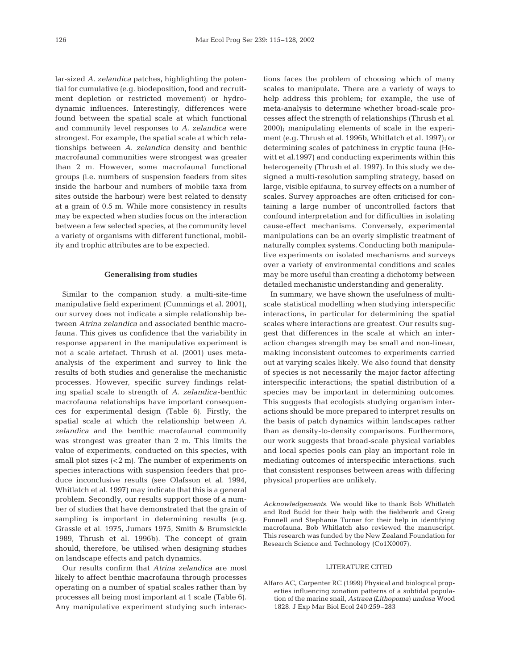lar-sized *A. zelandica* patches, highlighting the potential for cumulative (e.g. biodeposition, food and recruitment depletion or restricted movement) or hydrodynamic influences. Interestingly, differences were found between the spatial scale at which functional and community level responses to *A. zelandica* were strongest. For example, the spatial scale at which relationships between *A. zelandica* density and benthic macrofaunal communities were strongest was greater than 2 m. However, some macrofaunal functional groups (i.e. numbers of suspension feeders from sites inside the harbour and numbers of mobile taxa from sites outside the harbour) were best related to density at a grain of 0.5 m. While more consistency in results may be expected when studies focus on the interaction between a few selected species, at the community level a variety of organisms with different functional, mobility and trophic attributes are to be expected.

#### **Generalising from studies**

Similar to the companion study, a multi-site-time manipulative field experiment (Cummings et al. 2001), our survey does not indicate a simple relationship between *Atrina zelandica* and associated benthic macrofauna. This gives us confidence that the variability in response apparent in the manipulative experiment is not a scale artefact. Thrush et al. (2001) uses metaanalysis of the experiment and survey to link the results of both studies and generalise the mechanistic processes. However, specific survey findings relating spatial scale to strength of *A. zelandica*-benthic macrofauna relationships have important consequences for experimental design (Table 6). Firstly, the spatial scale at which the relationship between *A. zelandica* and the benthic macrofaunal community was strongest was greater than 2 m. This limits the value of experiments, conducted on this species, with small plot sizes  $( $2 \, \text{m}$ ). The number of experiments on$ species interactions with suspension feeders that produce inconclusive results (see Olafsson et al. 1994, Whitlatch et al. 1997) may indicate that this is a general problem. Secondly, our results support those of a number of studies that have demonstrated that the grain of sampling is important in determining results (e.g. Grassle et al. 1975, Jumars 1975, Smith & Brumsickle 1989, Thrush et al. 1996b). The concept of grain should, therefore, be utilised when designing studies on landscape effects and patch dynamics.

Our results confirm that *Atrina zelandica* are most likely to affect benthic macrofauna through processes operating on a number of spatial scales rather than by processes all being most important at 1 scale (Table 6). Any manipulative experiment studying such interac-

tions faces the problem of choosing which of many scales to manipulate. There are a variety of ways to help address this problem; for example, the use of meta-analysis to determine whether broad-scale processes affect the strength of relationships (Thrush et al. 2000); manipulating elements of scale in the experiment (e.g. Thrush et al. 1996b, Whitlatch et al. 1997); or determining scales of patchiness in cryptic fauna (Hewitt et al.1997) and conducting experiments within this heterogeneity (Thrush et al. 1997). In this study we designed a multi-resolution sampling strategy, based on large, visible epifauna, to survey effects on a number of scales. Survey approaches are often criticised for containing a large number of uncontrolled factors that confound interpretation and for difficulties in isolating cause-effect mechanisms. Conversely, experimental manipulations can be an overly simplistic treatment of naturally complex systems. Conducting both manipulative experiments on isolated mechanisms and surveys over a variety of environmental conditions and scales may be more useful than creating a dichotomy between detailed mechanistic understanding and generality.

In summary, we have shown the usefulness of multiscale statistical modelling when studying interspecific interactions, in particular for determining the spatial scales where interactions are greatest. Our results suggest that differences in the scale at which an interaction changes strength may be small and non-linear, making inconsistent outcomes to experiments carried out at varying scales likely. We also found that density of species is not necessarily the major factor affecting interspecific interactions; the spatial distribution of a species may be important in determining outcomes. This suggests that ecologists studying organism interactions should be more prepared to interpret results on the basis of patch dynamics within landscapes rather than as density-to-density comparisons. Furthermore, our work suggests that broad-scale physical variables and local species pools can play an important role in mediating outcomes of interspecific interactions, such that consistent responses between areas with differing physical properties are unlikely.

*Acknowledgements.* We would like to thank Bob Whitlatch and Rod Budd for their help with the fieldwork and Greig Funnell and Stephanie Turner for their help in identifying macrofauna. Bob Whitlatch also reviewed the manuscript. This research was funded by the New Zealand Foundation for Research Science and Technology (Co1X0007).

#### LITERATURE CITED

Alfaro AC, Carpenter RC (1999) Physical and biological properties influencing zonation patterns of a subtidal population of the marine snail, *Astraea (Lithopoma) undosa* Wood 1828. J Exp Mar Biol Ecol 240:259–283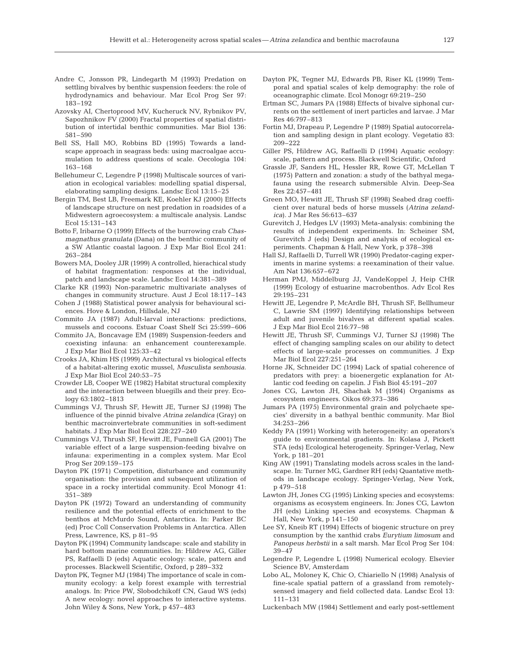- Andre C, Jonsson PR, Lindegarth M (1993) Predation on settling bivalves by benthic suspension feeders: the role of hydrodynamics and behaviour. Mar Ecol Prog Ser 97: 183–192
- Azovsky AI, Chertoprood MV, Kucheruck NV, Rybnikov PV, Sapozhnikov FV (2000) Fractal properties of spatial distribution of intertidal benthic communities. Mar Biol 136: 581–590
- Bell SS, Hall MO, Robbins BD (1995) Towards a landscape approach in seagrass beds: using macroalgae accumulation to address questions of scale. Oecologia 104: 163–168
- Bellehumeur C, Legendre P (1998) Multiscale sources of variation in ecological variables: modelling spatial dispersal, elaborating sampling designs. Landsc Ecol 13:15–25
- Bergin TM, Best LB, Freemark KE, Koehler KJ (2000) Effects of landscape structure on nest predation in roadsides of a Midwestern agroecosystem: a multiscale analysis. Landsc Ecol 15:131–143
- Botto F, Iribarne O (1999) Effects of the burrowing crab *Chasmagnathus granulata* (Dana) on the benthic community of a SW Atlantic coastal lagoon. J Exp Mar Biol Ecol 241: 263–284
- Bowers MA, Dooley JJR (1999) A controlled, hierachical study of habitat fragmentation: responses at the individual, patch and landscape scale. Landsc Ecol 14:381–389
- Clarke KR (1993) Non-parametric multivariate analyses of changes in community structure. Aust J Ecol 18:117–143
- Cohen J (1988) Statistical power analysis for behavioural sciences. Hove & London, Hillsdale, NJ
- Commito JA (1987) Adult-larval interactions: predictions, mussels and cocoons. Estuar Coast Shelf Sci 25:599–606
- Commito JA, Boncavage EM (1989) Suspension-feeders and coexisting infauna: an enhancement counterexample. J Exp Mar Biol Ecol 125:33–42
- Crooks JA, Khim HS (1999) Architectural vs biological effects of a habitat-altering exotic mussel, *Musculista senhousia*. J Exp Mar Biol Ecol 240:53–75
- Crowder LB, Cooper WE (1982) Habitat structural complexity and the interaction between bluegills and their prey. Ecology 63:1802–1813
- Cummings VJ, Thrush SF, Hewitt JE, Turner SJ (1998) The influence of the pinnid bivalve *Atrina zelandica* (Gray) on benthic macroinvertebrate communities in soft-sediment habitats. J Exp Mar Biol Ecol 228:227–240
- Cummings VJ, Thrush SF, Hewitt JE, Funnell GA (2001) The variable effect of a large suspension-feeding bivalve on infauna: experimenting in a complex system. Mar Ecol Prog Ser 209:159–175
- Dayton PK (1971) Competition, disturbance and community organisation: the provision and subsequent utilization of space in a rocky intertidal community. Ecol Monogr 41: 351–389
- Dayton PK (1972) Toward an understanding of community resilience and the potential effects of enrichment to the benthos at McMurdo Sound, Antarctica. In: Parker BC (ed) Proc Coll Conservation Problems in Antarctica. Allen Press, Lawrence, KS, p 81–95
- Dayton PK (1994) Community landscape: scale and stability in hard bottom marine communities. In: Hildrew AG, Giller PS, Raffaelli D (eds) Aquatic ecology: scale, pattern and processes. Blackwell Scientific, Oxford, p 289–332
- Dayton PK, Tegner MJ (1984) The importance of scale in community ecology: a kelp forest example with terrestrial analogs. In: Price PW, Slobodchikoff CN, Gaud WS (eds) A new ecology: novel approaches to interactive systems. John Wiley & Sons, New York, p 457–483
- Dayton PK, Tegner MJ, Edwards PB, Riser KL (1999) Temporal and spatial scales of kelp demography: the role of oceanographic climate. Ecol Monogr 69:219–250
- Ertman SC, Jumars PA (1988) Effects of bivalve siphonal currents on the settlement of inert particles and larvae. J Mar Res 46:797–813
- Fortin MJ, Drapeau P, Legendre P (1989) Spatial autocorrelation and sampling design in plant ecology. Vegetatio 83: 209–222
- Giller PS, Hildrew AG, Raffaelli D (1994) Aquatic ecology: scale, pattern and process. Blackwell Scientific, Oxford
- Grassle JF, Sanders HL, Hessler RR, Rowe GT, McLellan T (1975) Pattern and zonation: a study of the bathyal megafauna using the research submersible Alvin. Deep-Sea Res 22:457–481
- Green MO, Hewitt JE, Thrush SF (1998) Seabed drag coefficient over natural beds of horse mussels (*Atrina zelandica*). J Mar Res 56:613–637
- Gurevitch J, Hedges LV (1993) Meta-analysis: combining the results of independent experiments. In: Scheiner SM, Gurevitch J (eds) Design and analysis of ecological experiments. Chapman & Hall, New York, p 378–398
- Hall SJ, Raffaelli D, Turrell WR (1990) Predator-caging experiments in marine systems: a reexamination of their value. Am Nat 136:657–672
- Herman PMJ, Middelburg JJ, VandeKoppel J, Heip CHR (1999) Ecology of estuarine macrobenthos. Adv Ecol Res 29:195–231
- Hewitt JE, Legendre P, McArdle BH, Thrush SF, Bellhumeur C, Lawrie SM (1997) Identifying relationships between adult and juvenile bivalves at different spatial scales. J Exp Mar Biol Ecol 216:77–98
- Hewitt JE, Thrush SF, Cummings VJ, Turner SJ (1998) The effect of changing sampling scales on our ability to detect effects of large-scale processes on communities. J Exp Mar Biol Ecol 227:251–264
- Horne JK, Schneider DC (1994) Lack of spatial coherence of predators with prey: a bioenergetic explanation for Atlantic cod feeding on capelin. J Fish Biol 45:191–207
- Jones CG, Lawton JH, Shachak M (1994) Organisms as ecosystem engineers. Oikos 69:373–386
- Jumars PA (1975) Environmental grain and polychaete species' diversity in a bathyal benthic community. Mar Biol 34:253–266
- Keddy PA (1991) Working with heterogeneity: an operators's guide to environmental gradients. In: Kolasa J, Pickett STA (eds) Ecological heterogeneity. Springer-Verlag, New York, p 181–201
- King AW (1991) Translating models across scales in the landscape. In: Turner MG, Gardner RH (eds) Quantative methods in landscape ecology. Springer-Verlag, New York, p 479–518
- Lawton JH, Jones CG (1995) Linking species and ecosystems: organisms as ecosystem engineers. In: Jones CG, Lawton JH (eds) Linking species and ecosystems. Chapman & Hall, New York, p 141–150
- Lee SY, Kneib RT (1994) Effects of biogenic structure on prey consumption by the xanthid crabs *Eurytium limosum* and *Panopeus herbstii* in a salt marsh. Mar Ecol Prog Ser 104: 39–47
- Legendre P, Legendre L (1998) Numerical ecology. Elsevier Science BV, Amsterdam
- Lobo AL, Moloney K, Chic O, Chiariello N (1998) Analysis of fine-scale spatial pattern of a grassland from remotelysensed imagery and field collected data. Landsc Ecol 13: 111–131
- Luckenbach MW (1984) Settlement and early post-settlement